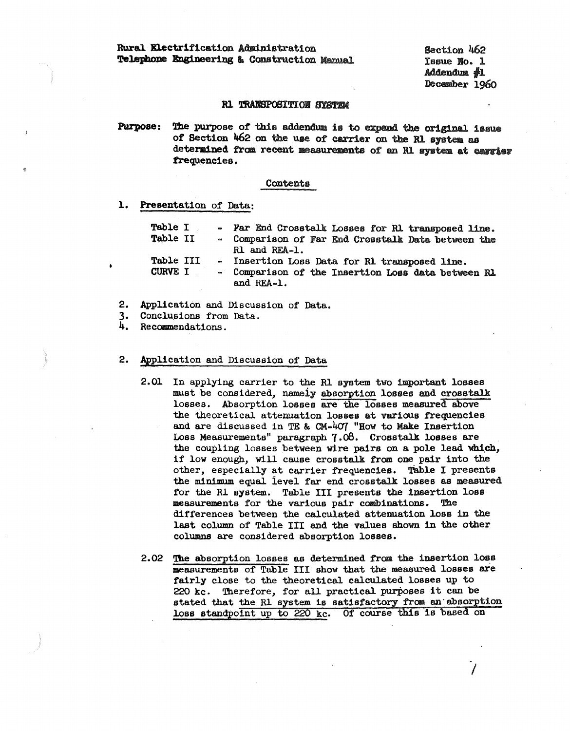Rural Electrification Administration Telephone Engineering & Construction Mamual Section 462 Tasue No. 1  $Addendum$   $\clubsuit$ 1 December 1960

### **R1 TRANSPOSITION SYSTEM**

The purpose of this addendum is to expand the original issue Purpose: of Section 462 on the use of carrier on the R1 system as determined from recent measurements of an R1 system at carrier frequencies.

### Contents

# 1. Presentation of Data:

| <b>Table I</b> |  | - Far End Crosstalk Losses for R1 transposed line.               |
|----------------|--|------------------------------------------------------------------|
| Table II       |  | - Comparison of Far End Crosstalk Data between the               |
|                |  | R1 and REA-1.                                                    |
| Table III      |  | - Insertion Loss Data for R1 transposed line.                    |
| CURVE I        |  | - Comparison of the Insertion Loss data between R1<br>and REA-1. |

- 2. Application and Discussion of Data.
- 3. Conclusions from Data.
- 4. Recommendations.

#### $2.$ Application and Discussion of Data

- 2.01 In applying carrier to the R1 system two important losses must be considered, namely absorption losses and crosstalk losses. Absorption losses are the losses measured above the theoretical attenuation losses at various frequencies and are discussed in TE & CM-407 "How to Make Insertion Loss Measurements" paragraph 7.08. Crosstalk losses are the coupling losses between wire pairs on a pole lead which, if low enough, will cause crosstalk from one pair into the other, especially at carrier frequencies. Table I presents the minimum equal level far end crosstalk losses as measured for the R1 system. Table III presents the insertion loss measurements for the various pair combinations. The differences between the calculated attenuation loss in the last column of Table III and the values shown in the other columns are considered absorption losses.
- 2.02 The absorption losses as determined from the insertion loss measurements of Table III show that the measured losses are fairly close to the theoretical calculated losses up to 220 kc. Therefore, for all practical purposes it can be stated that the R1 system is satisfactory from an absorption loss standpoint up to 220 kc. Of course this is based on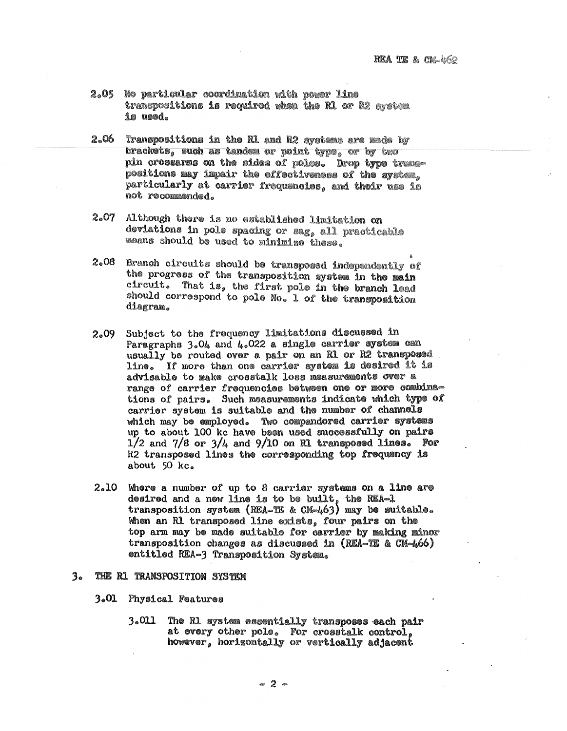- 2.05 No particular coordination with power line transpositions is required when the R1 or R2 system is used.
- $2.06$ Transpositions in the R1 and R2 systems are made by brackets, such as tanded or point type, or by two pin crossarms on the sides of poles. Drop type transpositions may impair the effectiveness of the system. particularly at carrier frequencies, and their use is not recommended.
- $2.07$ Although there is no established limitation on deviations in pole spacing or sag, all practicable means should be used to minimize these.
- $2.08$ Branch circuits should be transposed independently of the progress of the transposition system in the main circuit. That is, the first pole in the branch lead should correspond to pole No. 1 of the transposition diagram.
- Subject to the frequency limitations discussed in  $2.09$ Paragraphs 3.04 and 4.022 a single carrier system can usually be routed over a pair on an R1 or R2 transposed line. If more than one carrier system is desired it is advisable to make crosstalk loss measurements over a range of carrier frequencies between one or more combinations of pairs. Such measurements indicate which type of carrier system is suitable and the number of channels which may be employed. Two compandored carrier systems up to about 100 kc have been used successfully on pairs  $1/2$  and  $7/8$  or  $3/4$  and  $9/10$  on R1 transposed lines. For R2 transposed lines the corresponding top frequency is about 50 kc.
- 2.10 Where a number of up to 8 carrier systems on a line are desired and a new line is to be built, the REA-1 transposition system (REA-TE & CM-463) may be suitable. When an R1 transposed line exists, four pairs on the top arm may be made suitable for carrier by making minor transposition changes as discussed in (REA-TE & CM-466) entitled REA-3 Transposition System.

#### $3<sub>e</sub>$ THE R1 TRANSPOSITION SYSTEM

- 3.01 Physical Features
	- 3.011 The R1 system essentially transposes each pair at every other pole. For crosstalk control. however, horizontally or vertically adjacent

 $= 2 -$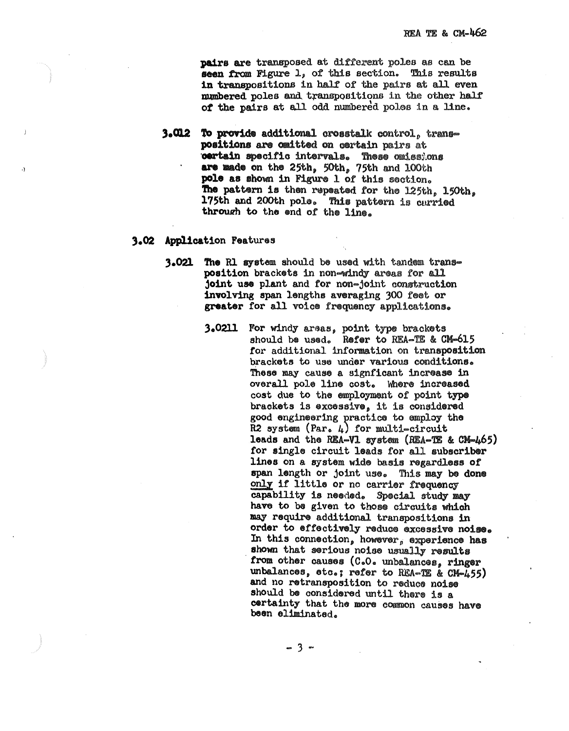pairs are transposed at different poles as can be seen from Figure 1, of this section. This results in transpositions in half of the pairs at all even mumbered poles and transpositions in the other half of the pairs at all odd numbered poles in a line.

**3.012 To provide additional crosstalk control, trans**positions are cmitted on certain pairs at oertain specific intervals. These omissions are made on the 25th, 50th, 75th and 100th pole as shown in Figure 1 of this section. The pattern is then repeated for the 125th, 150th, 175th and 200th pole. This pattern is carried through to the end of the line.

### 3.02 Application Features

- 3.021 The R1 system should be used with tandem transposition brackets in non-windy areas for all joint use plant and for non-joint construction involving span lengths averaging 300 feet or greater for all voice frequency applications.
	- 3.0211 For windy areas, point type brackets should be used. Refer to REA-TE & CM-615 for additional information on transposition brackets to use under various conditions. These may cause a signficant increase in overall pole line cost. Where increased cost due to the employment of point type brackets is excessive, it is considered good engineering practice to employ the R2 system (Par.  $\mu$ ) for multi-circuit leads and the REA-V1 system (REA-TE & CM-465) for single circuit leads for all subscriber lines on a system wide basis regardless of span length or joint use. This may be done only if little or no carrier frequency capability is needed. Special study may have to be given to those circuits which may require additional transpositions in order to effectively reduce excessive noise. In this connection, however, experience has shown that serious noise usually results from other causes (C.O. unbalances, ringer unbalances, etc.; refer to REA-TE & CM-455) and no retransposition to reduce noise should be considered until there is a certainty that the more common causes have been eliminated.

 $-3 -$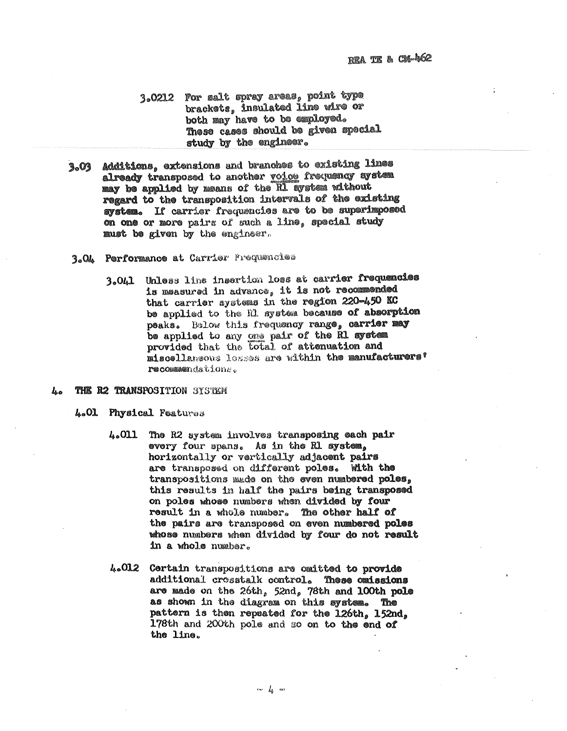- 3.0212 For salt spray areas. point type brackets, insulated line wire or both may have to be employed. These cases should be given special study by the engineer.
- 3.03 Additions, extensions and branches to existing lines already transposed to another voice frequency system may be applied by means of the RI aystem without regard to the transposition intervals of the existing system. If carrier frequancies are to be superimposed on one or more pairs of such a line. special study must be given by the engineer.
- 3.OA Performance at Carrier Prequencies
	- 3.041 Unless line insertion loss at carrier frequencies is measured in advance, it is not recommended that carrier systems in the region 220-450 KC be applied to the Rl system because of absorption peaks. Below this frequency range, carrier may be applied to any one pair of the R1 system provided that the total of attenuation and miscellansous losses are within the manufacturers' recommendations.
- THE R2 TRANSPOSITION SYSTEM h.
	- 4.01 Physical Features
		- The R2 system involves transposing each pair 4.011 every four spans. As in the Rl system. horizontally or vertically adjacent pairs are transposed on different poles. With the transpositions made on the even numbered poles, this results in half the pairs being transposed on poles whose numbers when divided by four result in a whole number. The other half of the pairs are transposed on even numbered poles whose numbers when divided by four do not result in a whole number.
		- 4.012 Certain transpositions are omitted to provide additional crosstalk control. These omissions are made on the 26th,  $52$ nd, 78th and 100th pole as shown in the diagram on this system. The pattern is then repeated for the 126th, 152nd, 178th and 200th pole and so on to the end of the line.

 $\cdots$   $l_{\phi}$  and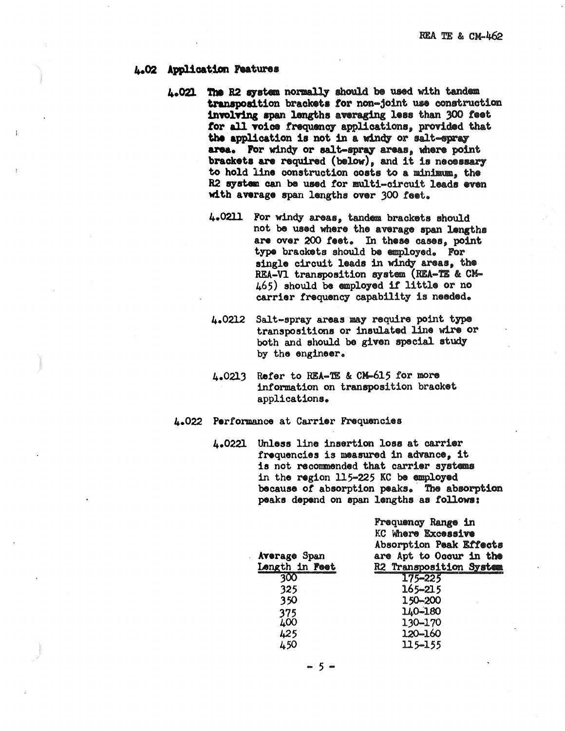## **4-02 Applica~ion** haturea

- 4.021 The R2 system normally should be used with tandem transposition brackets for non-joint use construction involving span lengths averaging less than 300 feet for all voice frequency applications, provided that the application is not in a windy or salt-spray area. For windy or salt-spray areas, where point brackets are required (below), and it is necessary to hold line construction costs to a minimum, the R2 system can be used for multi-circuit leads even **with average** span lengths over 300 teot.
	- 4.0211 For windy areas, tandem brackets should not be used where the average span lengths are over 200 feet. In these cases, point type braoketa should be employed. For single circuit leads in windy areas, the REA-Vl transposition system (REA-TE & CM-465) should be employed it little or no carrier frequency capability is needed.
	- 4.0212 Salt-spray areas may require point type transpositions or insulated line wire or both and should bo given special study by the engineer.
	- 4.0213 Refer to REA-TE & CM-615 for more information on transposition bracket applications.

# 4.022 **Performance** at Carrier Frequencies

4.0221 **Unless** line insertion loss at carrier frequencies is measured in advance, it is not recommended that carrier systems in the region 115-225 KC be employed because of absorption peaks. The absorption peaks depend on span lengths as follows:

|                     | Frequency Range in<br>KC Where Excessive |
|---------------------|------------------------------------------|
|                     | Absorption Peak Effects                  |
| <b>Average Span</b> | are Apt to Occur in the                  |
| Length in Feet      | R2 Transposition System                  |
| 300                 | $175 - 225$                              |
| 325                 | 165-215                                  |
| 350                 | 150-200                                  |
| 375                 | 140-180                                  |
| 400                 | 130-170                                  |
| 425                 | 120-160                                  |
| 450                 | 115-155                                  |
|                     |                                          |

 $-5 -$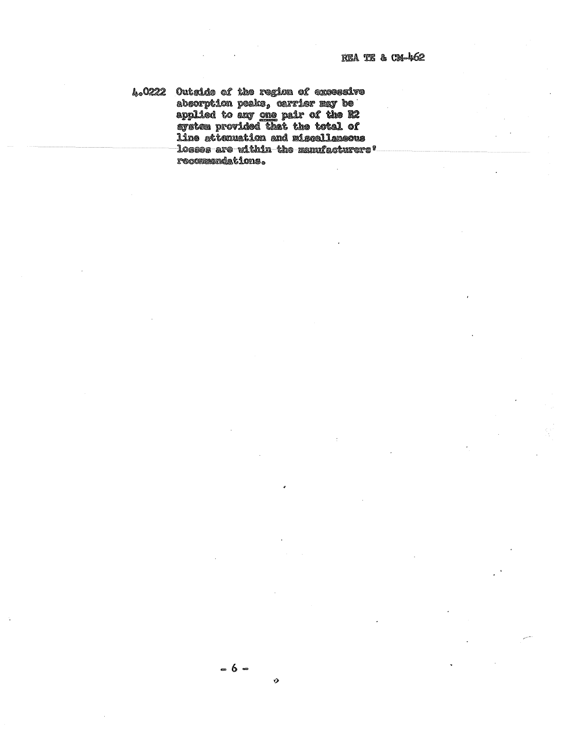4.0222 Outside of the region of exceesive absorption peaks, carrier may be<br>applied to any <u>one</u> pair of the R2<br>system provided that the total of line attenuation and miscellaneous losses are within the manufacturers! recommendations.

Ø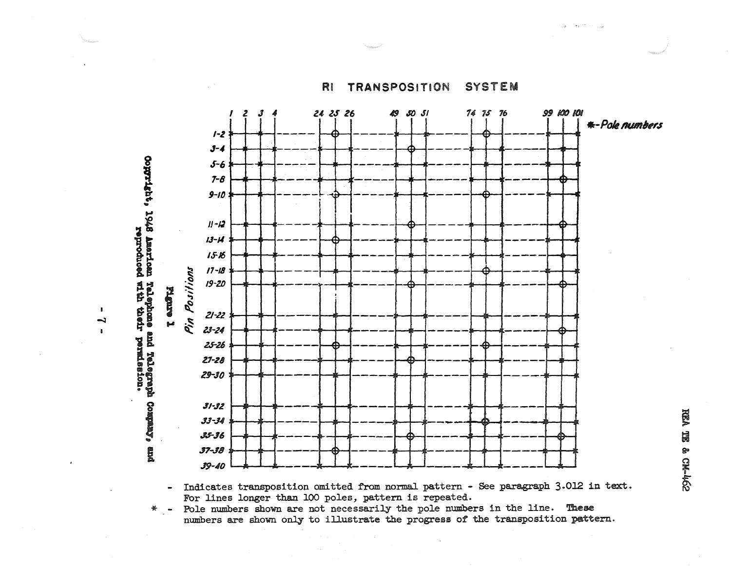24 25 26 **L**  $50<sub>51</sub>$ 74 75 76 99 100 101  $\boldsymbol{3}$ \*-Pole numbers  $1 - 2$  $3 - 4$ examples i 945 landing and he becomes the person company,  $5 - 6$  $7 - 8$  $9 - 10$  $II - I2$  $13 - H$  $15 - 16$  $17 - 18$ Positions  $19 - 20$ **Leure 1**  $21 - 22$ Pin  $23 - 24$  $25 - 26$  $27 - 28$  $29 - 30$  $31 - 32$  $33 - 34$ 35-36 g  $J7 - J\theta$ 39-40

 $\mathbf{r}$ 

 $\blacksquare$ 

Indicates transposition omitted from normal pattern - See paragraph 3.012 in text.  $\frac{1}{2}$ For lines longer than 100 poles, pattern is repeated.

\* - Pole numbers shown are not necessarily the pole numbers in the line. These numbers are shown only to illustrate the progress of the transposition pattern.

RI TRANSPOSITION

**SYSTEM**